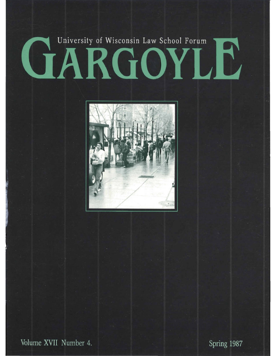## University of Wisconsin Law School Forum CIARGOYLE



Volume XVII Number 4.

Spring 1987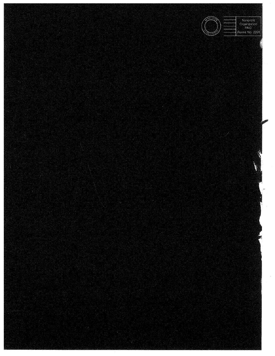